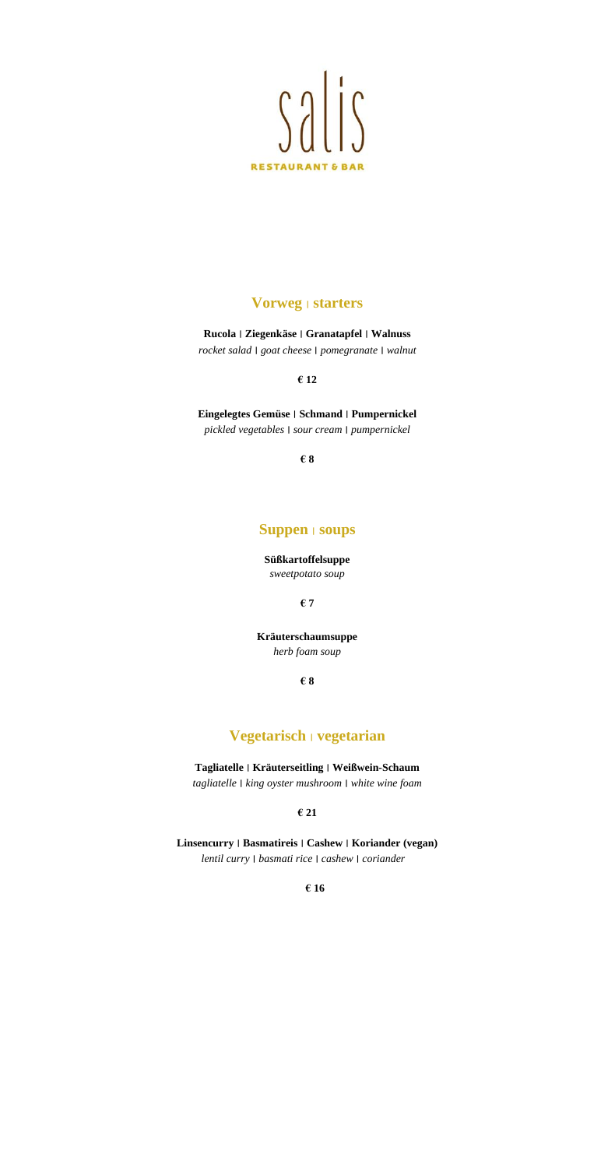

### **Vorweg** ׀ **starters**

**Rucola** ׀ **Ziegenkäse** ׀ **Granatapfel** ׀ **Walnuss** *rocket salad* ׀ *goat cheese* ׀ *pomegranate* ׀ *walnut*

**€ 12**

**Eingelegtes Gemüse** ׀ **Schmand** ׀ **Pumpernickel**

*pickled vegetables* ׀ *sour cream* ׀ *pumpernickel*

**€ 8**

#### **Suppen** ׀ **soups**

**Süßkartoffelsuppe** *sweetpotato soup*

**€ 7**

**Kräuterschaumsuppe** *herb foam soup*

**€ 8**

# **Vegetarisch** ׀ **vegetarian**

**Tagliatelle** ׀ **Kräuterseitling** ׀ **Weißwein-Schaum** *tagliatelle* ׀ *king oyster mushroom* ׀ *white wine foam*

**€ 21**

**Linsencurry** ׀ **Basmatireis** ׀ **Cashew** ׀ **Koriander (vegan)**  *lentil curry* ׀ *basmati rice* ׀ *cashew* ׀ *coriander*

**€ 16**